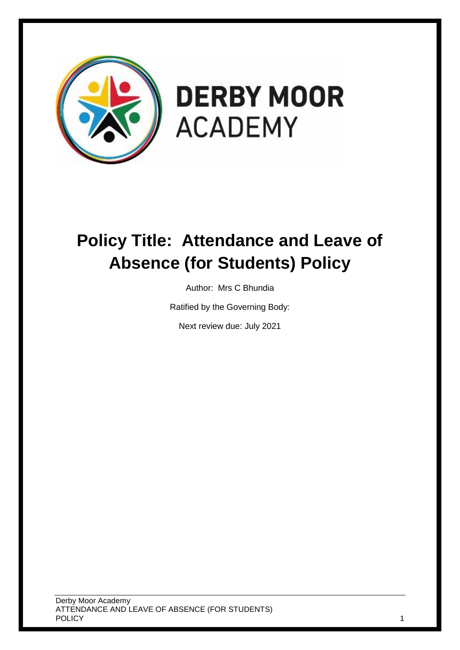

# **DERBY MOOR ACADEMY**

# **Policy Title: Attendance and Leave of Absence (for Students) Policy**

Author: Mrs C Bhundia

Ratified by the Governing Body:

Next review due: July 2021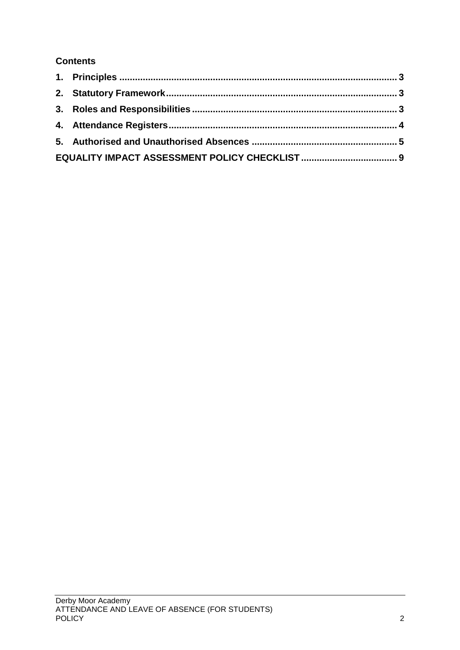# **Contents**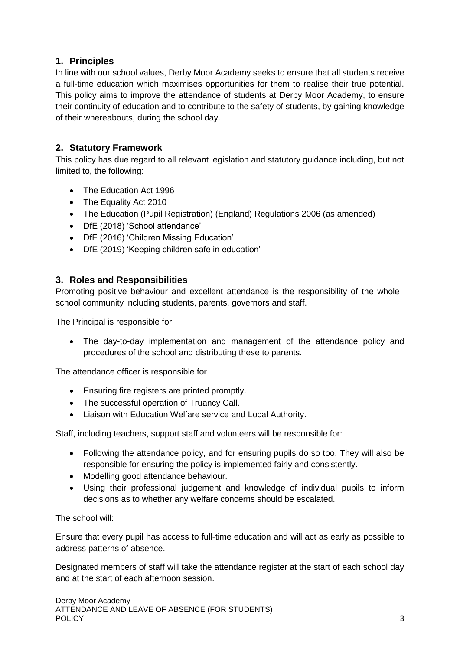# <span id="page-2-0"></span>**1. Principles**

In line with our school values, Derby Moor Academy seeks to ensure that all students receive a full-time education which maximises opportunities for them to realise their true potential. This policy aims to improve the attendance of students at Derby Moor Academy, to ensure their continuity of education and to contribute to the safety of students, by gaining knowledge of their whereabouts, during the school day.

# <span id="page-2-1"></span>**2. Statutory Framework**

This policy has due regard to all relevant legislation and statutory guidance including, but not limited to, the following:

- The Education Act 1996
- The Equality Act 2010
- The Education (Pupil Registration) (England) Regulations 2006 (as amended)
- DfE (2018) 'School attendance'
- DfE (2016) 'Children Missing Education'
- DfE (2019) 'Keeping children safe in education'

#### <span id="page-2-2"></span>**3. Roles and Responsibilities**

Promoting positive behaviour and excellent attendance is the responsibility of the whole school community including students, parents, governors and staff.

The Principal is responsible for:

 The day-to-day implementation and management of the attendance policy and procedures of the school and distributing these to parents.

The attendance officer is responsible for

- Ensuring fire registers are printed promptly.
- The successful operation of Truancy Call.
- Liaison with Education Welfare service and Local Authority.

Staff, including teachers, support staff and volunteers will be responsible for:

- Following the attendance policy, and for ensuring pupils do so too. They will also be responsible for ensuring the policy is implemented fairly and consistently.
- Modelling good attendance behaviour.
- Using their professional judgement and knowledge of individual pupils to inform decisions as to whether any welfare concerns should be escalated.

The school will:

Ensure that every pupil has access to full-time education and will act as early as possible to address patterns of absence.

Designated members of staff will take the attendance register at the start of each school day and at the start of each afternoon session.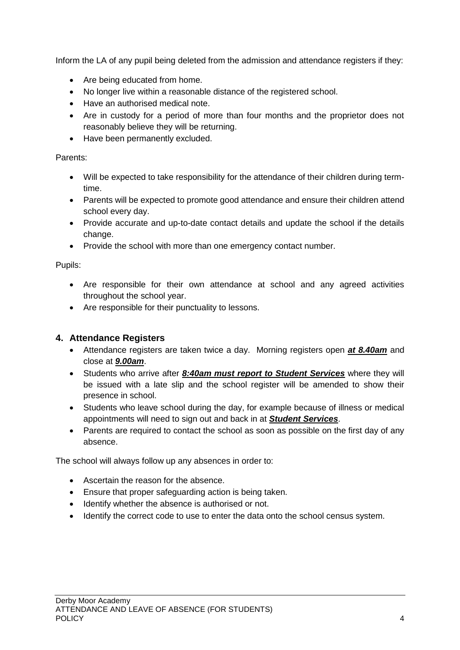Inform the LA of any pupil being deleted from the admission and attendance registers if they:

- Are being educated from home.
- No longer live within a reasonable distance of the registered school.
- Have an authorised medical note.
- Are in custody for a period of more than four months and the proprietor does not reasonably believe they will be returning.
- Have been permanently excluded.

#### Parents:

- Will be expected to take responsibility for the attendance of their children during termtime.
- Parents will be expected to promote good attendance and ensure their children attend school every day.
- Provide accurate and up-to-date contact details and update the school if the details change.
- Provide the school with more than one emergency contact number.

Pupils:

- Are responsible for their own attendance at school and any agreed activities throughout the school year.
- Are responsible for their punctuality to lessons.

#### <span id="page-3-0"></span>**4. Attendance Registers**

- Attendance registers are taken twice a day. Morning registers open *at 8.40am* and close at *9.00am*.
- Students who arrive after *8:40am must report to Student Services* where they will be issued with a late slip and the school register will be amended to show their presence in school.
- Students who leave school during the day, for example because of illness or medical appointments will need to sign out and back in at *Student Services*.
- Parents are required to contact the school as soon as possible on the first day of any absence.

The school will always follow up any absences in order to:

- Ascertain the reason for the absence.
- Ensure that proper safeguarding action is being taken.
- Identify whether the absence is authorised or not.
- Identify the correct code to use to enter the data onto the school census system.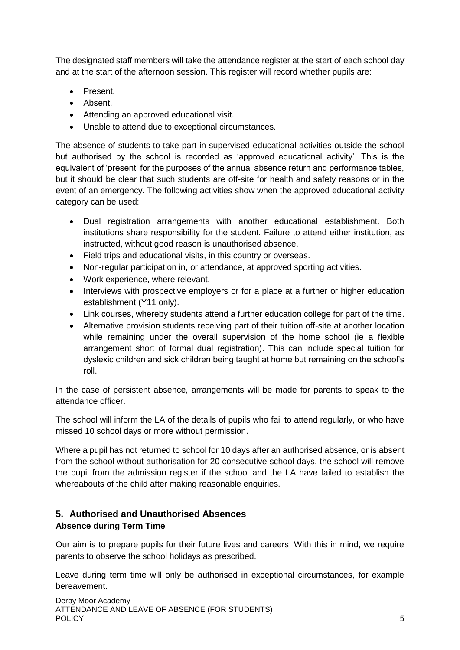The designated staff members will take the attendance register at the start of each school day and at the start of the afternoon session. This register will record whether pupils are:

- Present.
- Absent.
- Attending an approved educational visit.
- Unable to attend due to exceptional circumstances.

The absence of students to take part in supervised educational activities outside the school but authorised by the school is recorded as 'approved educational activity'. This is the equivalent of 'present' for the purposes of the annual absence return and performance tables, but it should be clear that such students are off-site for health and safety reasons or in the event of an emergency. The following activities show when the approved educational activity category can be used:

- Dual registration arrangements with another educational establishment. Both institutions share responsibility for the student. Failure to attend either institution, as instructed, without good reason is unauthorised absence.
- Field trips and educational visits, in this country or overseas.
- Non-regular participation in, or attendance, at approved sporting activities.
- Work experience, where relevant.
- Interviews with prospective employers or for a place at a further or higher education establishment (Y11 only).
- Link courses, whereby students attend a further education college for part of the time.
- Alternative provision students receiving part of their tuition off-site at another location while remaining under the overall supervision of the home school (ie a flexible arrangement short of formal dual registration). This can include special tuition for dyslexic children and sick children being taught at home but remaining on the school's roll.

In the case of persistent absence, arrangements will be made for parents to speak to the attendance officer.

The school will inform the LA of the details of pupils who fail to attend regularly, or who have missed 10 school days or more without permission.

Where a pupil has not returned to school for 10 days after an authorised absence, or is absent from the school without authorisation for 20 consecutive school days, the school will remove the pupil from the admission register if the school and the LA have failed to establish the whereabouts of the child after making reasonable enquiries.

# <span id="page-4-0"></span>**5. Authorised and Unauthorised Absences Absence during Term Time**

Our aim is to prepare pupils for their future lives and careers. With this in mind, we require parents to observe the school holidays as prescribed.

Leave during term time will only be authorised in exceptional circumstances, for example bereavement.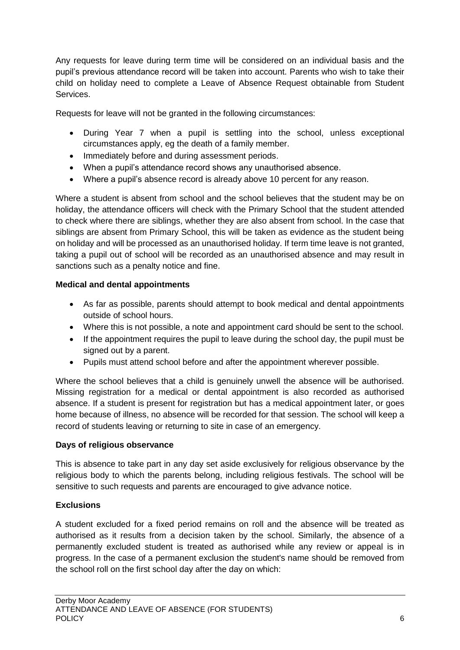Any requests for leave during term time will be considered on an individual basis and the pupil's previous attendance record will be taken into account. Parents who wish to take their child on holiday need to complete a Leave of Absence Request obtainable from Student Services.

Requests for leave will not be granted in the following circumstances:

- During Year 7 when a pupil is settling into the school, unless exceptional circumstances apply, eg the death of a family member.
- Immediately before and during assessment periods.
- When a pupil's attendance record shows any unauthorised absence.
- Where a pupil's absence record is already above 10 percent for any reason.

Where a student is absent from school and the school believes that the student may be on holiday, the attendance officers will check with the Primary School that the student attended to check where there are siblings, whether they are also absent from school. In the case that siblings are absent from Primary School, this will be taken as evidence as the student being on holiday and will be processed as an unauthorised holiday. If term time leave is not granted, taking a pupil out of school will be recorded as an unauthorised absence and may result in sanctions such as a penalty notice and fine.

#### **Medical and dental appointments**

- As far as possible, parents should attempt to book medical and dental appointments outside of school hours.
- Where this is not possible, a note and appointment card should be sent to the school.
- If the appointment requires the pupil to leave during the school day, the pupil must be signed out by a parent.
- Pupils must attend school before and after the appointment wherever possible.

Where the school believes that a child is genuinely unwell the absence will be authorised. Missing registration for a medical or dental appointment is also recorded as authorised absence. If a student is present for registration but has a medical appointment later, or goes home because of illness, no absence will be recorded for that session. The school will keep a record of students leaving or returning to site in case of an emergency.

#### **Days of religious observance**

This is absence to take part in any day set aside exclusively for religious observance by the religious body to which the parents belong, including religious festivals. The school will be sensitive to such requests and parents are encouraged to give advance notice.

#### **Exclusions**

A student excluded for a fixed period remains on roll and the absence will be treated as authorised as it results from a decision taken by the school. Similarly, the absence of a permanently excluded student is treated as authorised while any review or appeal is in progress. In the case of a permanent exclusion the student's name should be removed from the school roll on the first school day after the day on which: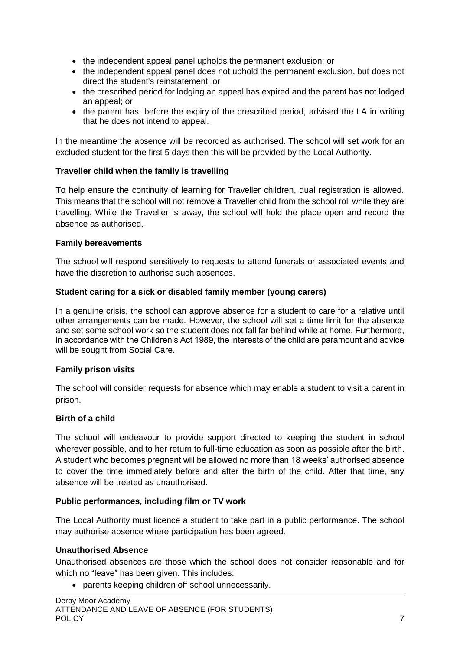- the independent appeal panel upholds the permanent exclusion; or
- the independent appeal panel does not uphold the permanent exclusion, but does not direct the student's reinstatement; or
- the prescribed period for lodging an appeal has expired and the parent has not lodged an appeal; or
- the parent has, before the expiry of the prescribed period, advised the LA in writing that he does not intend to appeal.

In the meantime the absence will be recorded as authorised. The school will set work for an excluded student for the first 5 days then this will be provided by the Local Authority.

#### **Traveller child when the family is travelling**

To help ensure the continuity of learning for Traveller children, dual registration is allowed. This means that the school will not remove a Traveller child from the school roll while they are travelling. While the Traveller is away, the school will hold the place open and record the absence as authorised.

#### **Family bereavements**

The school will respond sensitively to requests to attend funerals or associated events and have the discretion to authorise such absences.

#### **Student caring for a sick or disabled family member (young carers)**

In a genuine crisis, the school can approve absence for a student to care for a relative until other arrangements can be made. However, the school will set a time limit for the absence and set some school work so the student does not fall far behind while at home. Furthermore, in accordance with the Children's Act 1989, the interests of the child are paramount and advice will be sought from Social Care.

#### **Family prison visits**

The school will consider requests for absence which may enable a student to visit a parent in prison.

#### **Birth of a child**

The school will endeavour to provide support directed to keeping the student in school wherever possible, and to her return to full-time education as soon as possible after the birth. A student who becomes pregnant will be allowed no more than 18 weeks' authorised absence to cover the time immediately before and after the birth of the child. After that time, any absence will be treated as unauthorised.

#### **Public performances, including film or TV work**

The Local Authority must licence a student to take part in a public performance. The school may authorise absence where participation has been agreed.

#### **Unauthorised Absence**

Unauthorised absences are those which the school does not consider reasonable and for which no "leave" has been given. This includes:

parents keeping children off school unnecessarily.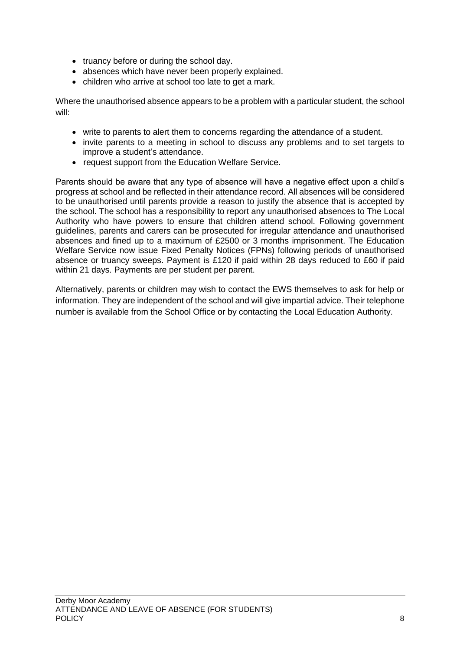- truancy before or during the school day.
- absences which have never been properly explained.
- children who arrive at school too late to get a mark.

Where the unauthorised absence appears to be a problem with a particular student, the school will:

- write to parents to alert them to concerns regarding the attendance of a student.
- invite parents to a meeting in school to discuss any problems and to set targets to improve a student's attendance.
- request support from the Education Welfare Service.

Parents should be aware that any type of absence will have a negative effect upon a child's progress at school and be reflected in their attendance record. All absences will be considered to be unauthorised until parents provide a reason to justify the absence that is accepted by the school. The school has a responsibility to report any unauthorised absences to The Local Authority who have powers to ensure that children attend school. Following government guidelines, parents and carers can be prosecuted for irregular attendance and unauthorised absences and fined up to a maximum of £2500 or 3 months imprisonment. The Education Welfare Service now issue Fixed Penalty Notices (FPNs) following periods of unauthorised absence or truancy sweeps. Payment is £120 if paid within 28 days reduced to £60 if paid within 21 days. Payments are per student per parent.

Alternatively, parents or children may wish to contact the EWS themselves to ask for help or information. They are independent of the school and will give impartial advice. Their telephone number is available from the School Office or by contacting the Local Education Authority.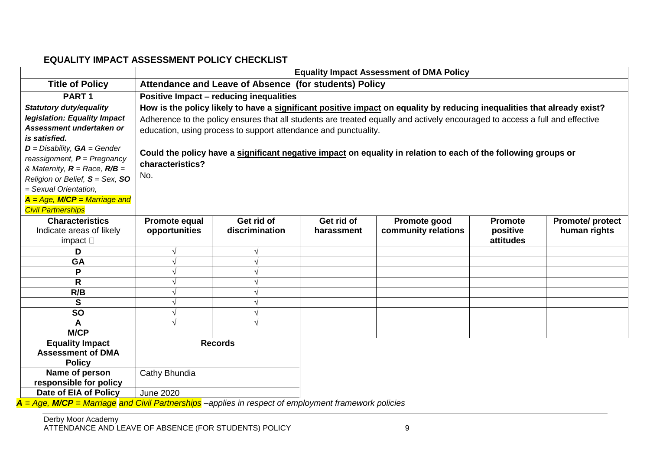## **EQUALITY IMPACT ASSESSMENT POLICY CHECKLIST**

|                                                                                                       | <b>Equality Impact Assessment of DMA Policy</b>                                                                              |                |            |                     |                |                        |  |
|-------------------------------------------------------------------------------------------------------|------------------------------------------------------------------------------------------------------------------------------|----------------|------------|---------------------|----------------|------------------------|--|
| <b>Title of Policy</b>                                                                                | Attendance and Leave of Absence (for students) Policy                                                                        |                |            |                     |                |                        |  |
| PART <sub>1</sub>                                                                                     | <b>Positive Impact - reducing inequalities</b>                                                                               |                |            |                     |                |                        |  |
| <b>Statutory duty/equality</b>                                                                        | How is the policy likely to have a significant positive impact on equality by reducing inequalities that already exist?      |                |            |                     |                |                        |  |
| legislation: Equality Impact                                                                          | Adherence to the policy ensures that all students are treated equally and actively encouraged to access a full and effective |                |            |                     |                |                        |  |
| Assessment undertaken or                                                                              | education, using process to support attendance and punctuality.                                                              |                |            |                     |                |                        |  |
| is satisfied.                                                                                         |                                                                                                                              |                |            |                     |                |                        |  |
| $D =$ Disability, $GA =$ Gender                                                                       | Could the policy have a significant negative impact on equality in relation to each of the following groups or               |                |            |                     |                |                        |  |
| reassignment, $P = P$ regnancy                                                                        | characteristics?                                                                                                             |                |            |                     |                |                        |  |
| & Maternity, $R =$ Race, $R/B =$                                                                      | No.                                                                                                                          |                |            |                     |                |                        |  |
| Religion or Belief, $S = Sex$ , SO                                                                    |                                                                                                                              |                |            |                     |                |                        |  |
| = Sexual Orientation,                                                                                 |                                                                                                                              |                |            |                     |                |                        |  |
| $A = Age$ , M/CP = Marriage and                                                                       |                                                                                                                              |                |            |                     |                |                        |  |
| <b>Civil Partnerships</b>                                                                             |                                                                                                                              |                |            |                     |                |                        |  |
| <b>Characteristics</b>                                                                                | Promote equal                                                                                                                | Get rid of     | Get rid of | Promote good        | <b>Promote</b> | <b>Promote/protect</b> |  |
| Indicate areas of likely                                                                              | opportunities                                                                                                                | discrimination | harassment | community relations | positive       | human rights           |  |
| impact $\square$                                                                                      |                                                                                                                              |                |            |                     | attitudes      |                        |  |
| D                                                                                                     |                                                                                                                              |                |            |                     |                |                        |  |
| GA                                                                                                    |                                                                                                                              |                |            |                     |                |                        |  |
| P                                                                                                     |                                                                                                                              |                |            |                     |                |                        |  |
| R                                                                                                     |                                                                                                                              |                |            |                     |                |                        |  |
| R/B                                                                                                   |                                                                                                                              |                |            |                     |                |                        |  |
| S                                                                                                     |                                                                                                                              |                |            |                     |                |                        |  |
| <b>SO</b>                                                                                             |                                                                                                                              |                |            |                     |                |                        |  |
| A                                                                                                     |                                                                                                                              |                |            |                     |                |                        |  |
| <b>M/CP</b>                                                                                           |                                                                                                                              |                |            |                     |                |                        |  |
| <b>Equality Impact</b>                                                                                | <b>Records</b>                                                                                                               |                |            |                     |                |                        |  |
| <b>Assessment of DMA</b>                                                                              |                                                                                                                              |                |            |                     |                |                        |  |
| <b>Policy</b><br>Name of person                                                                       |                                                                                                                              |                |            |                     |                |                        |  |
| responsible for policy                                                                                | Cathy Bhundia                                                                                                                |                |            |                     |                |                        |  |
| Date of EIA of Policy                                                                                 | <b>June 2020</b>                                                                                                             |                |            |                     |                |                        |  |
| Asia MICO Menicae cad Chill Dentrentation condition in no need of enough means themselves in policies |                                                                                                                              |                |            |                     |                |                        |  |

<span id="page-8-0"></span>*A = Age, M/CP = Marriage and Civil Partnerships –applies in respect of employment framework policies*